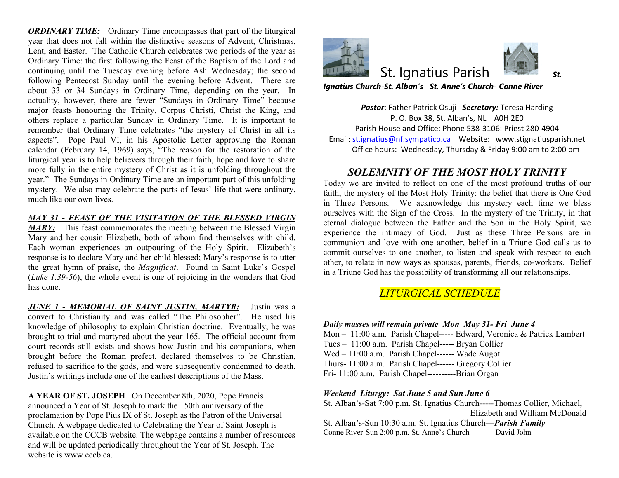*ORDINARY TIME:* Ordinary Time encompasses that part of the liturgical year that does not fall within the distinctive seasons of Advent, Christmas, Lent, and Easter. The Catholic Church celebrates two periods of the year as Ordinary Time: the first following the Feast of the Baptism of the Lord and continuing until the Tuesday evening before Ash Wednesday; the second following Pentecost Sunday until the evening before Advent. There are about 33 or 34 Sundays in Ordinary Time, depending on the year. In actuality, however, there are fewer "Sundays in Ordinary Time" because major feasts honouring the Trinity, Corpus Christi, Christ the King, and others replace a particular Sunday in Ordinary Time. It is important to remember that Ordinary Time celebrates "the mystery of Christ in all its aspects". Pope Paul VI, in his Apostolic Letter approving the Roman calendar (February 14, 1969) says, "The reason for the restoration of the liturgical year is to help believers through their faith, hope and love to share more fully in the entire mystery of Christ as it is unfolding throughout the year." The Sundays in Ordinary Time are an important part of this unfolding mystery. We also may celebrate the parts of Jesus' life that were ordinary, much like our own lives.

#### *MAY 31 - FEAST OF THE VISITATION OF THE BLESSED VIRGIN*

**MARY:** This feast commemorates the meeting between the Blessed Virgin Mary and her cousin Elizabeth, both of whom find themselves with child. Each woman experiences an outpouring of the Holy Spirit. Elizabeth's response is to declare Mary and her child blessed; Mary's response is to utter the great hymn of praise, the *Magnificat*. Found in Saint Luke's Gospel (*Luke 1.39-56*), the whole event is one of rejoicing in the wonders that God has done.

*JUNE 1 - MEMORIAL OF SAINT JUSTIN, MARTYR:* Justin was a convert to Christianity and was called "The Philosopher". He used his knowledge of philosophy to explain Christian doctrine. Eventually, he was brought to trial and martyred about the year 165. The official account from court records still exists and shows how Justin and his companions, when brought before the Roman prefect, declared themselves to be Christian, refused to sacrifice to the gods, and were subsequently condemned to death. Justin's writings include one of the earliest descriptions of the Mass.

A YEAR OF ST. JOSEPH On December 8th, 2020, Pope Francis announced a Year of St. Joseph to mark the 150th anniversary of the proclamation by Pope Pius IX of St. Joseph as the Patron of the Universal Church. A webpage dedicated to Celebrating the Year of Saint Joseph is available on the CCCB website. The webpage contains a number of resources and will be updated periodically throughout the Year of St. Joseph. The website is www.cccb.ca.



# **St. Ignatius Paris**

*Ignatius Church-St. Alban's St. Anne's Ch* 

**Pastor: Father Patrick Osuji Secretary:** P. O. Box 38, St. Alban's, Parish House and Office: Phone 538 Email: st.ignatius@nf.sympatico.ca Webs Office hours: Wednesday, Thursday

#### *SOLEMNITY OF THE MOS*

Today we are invited to reflect on one of the most profound truths of  $\alpha$ faith, the mystery of the Most Holy Trinity: in Three Persons. We acknowledge this ourselves with the Sign of the Cross. In th eternal dialogue between the Father and t experience the intimacy of God. Just a communion and love with one another, bel commit ourselves to one another, to listen other, to relate in new ways as spouses, parents, coin a Triune God has the possibility of transformations.

## $LITURGICAL \: SCHEL$

#### *Daily masses will remain private Mon May 31- Fri June 4*

Mon - 11:00 a.m. Parish Chapel----- Edwar Tues - 11:00 a.m. Parish Chapel----- Bryan  $Wed - 11:00$  a.m. Parish Chapel------ Wade Thurs-  $11:00$  a.m. Parish Chapel------ Grego Fri- 11:00 a.m. Parish Chapel-----------Brian

#### *Weekend Liturgy: Sat June 5 and Sun June*

St. Alban's-Sat 7:00 p.m. St. Ignatius Church Elizabeth and William McDonald

St. Alban's-Sun 10:30 a.m. St. Ignatius Chur Conne River-Sun 2:00 p.m. St. Anne's Church----

 $\overline{\phantom{a}}$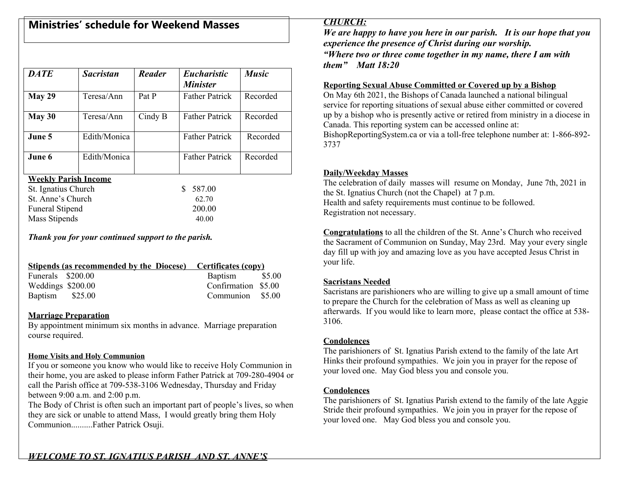## **Ministries' schedule for Weekend Masses**

| <b>DATE</b>                 | <b>Sacristan</b> | Reader  | <b>Eucharistic</b><br><b>Minister</b> | <b>Music</b> |  |  |  |
|-----------------------------|------------------|---------|---------------------------------------|--------------|--|--|--|
| May 29                      | Teresa/Ann       | Pat P   | <b>Father Patrick</b>                 | Recorded     |  |  |  |
| May 30                      | Teresa/Ann       | Cindy B | <b>Father Patrick</b>                 | Recorded     |  |  |  |
| June 5                      | Edith/Monica     |         | <b>Father Patrick</b>                 | Recorded     |  |  |  |
| June 6                      | Edith/Monica     |         | <b>Father Patrick</b>                 | Recorded     |  |  |  |
| <b>Weekly Parish Income</b> |                  |         |                                       |              |  |  |  |

we <u>Parish Inc</u>or

| St. Ignatius Church    | \$ 587.00 |
|------------------------|-----------|
| St. Anne's Church      | 62.70     |
| <b>Funeral Stipend</b> | 200.00    |
| Mass Stipends          | 40.00     |

*Thank you for your continued support to the parish.*

|                   |  | Stipends (as recommended by the Diocese) Certificates (copy) |  |
|-------------------|--|--------------------------------------------------------------|--|
| Funerals \$200.00 |  | Baptism \$5.00                                               |  |
| Weddings \$200.00 |  | Confirmation \$5.00                                          |  |
| Baptism \$25.00   |  | Communion \$5.00                                             |  |

#### **Marriage Preparation**

By appointment minimum six months in advance. Marriage preparation course required.

#### **Home Visits and Holy Communion**

If you or someone you know who would like to receive Holy Communion in their home, you are asked to please inform Father Patrick at 709-280-4904 or call the Parish office at 709-538-3106 Wednesday, Thursday and Friday between 9:00 a.m. and 2:00 p.m.

The Body of Christ is often such an important part of people's lives, so when they are sick or unable to attend Mass, I would greatly bring them Holy Communion..........Father Patrick Osuji.

## *CHURCH:*

*We are happy to have you here in our parish. It is our hope that you experience the presence of Christ during our worship. "Where two or three come together in my name, there I am with them" Matt 18:20*

#### **Reporting Sexual Abuse Committed or Covered up by a Bishop**

On May 6th 2021, the Bishops of Canada launched a national bilingual service for reporting situations of sexual abuse either committed or covered up by a bishop who is presently active or retired from ministry in a diocese in Canada. This reporting system can be accessed online at:

BishopReportingSystem.ca or via a toll-free telephone number at: 1-866-892- 3737

#### **Daily/Weekday Masses**

The celebration of daily masses will resume on Monday, June 7th, 2021 in the St. Ignatius Church (not the Chapel) at 7 p.m. Health and safety requirements must continue to be followed. Registration not necessary.

**Congratulations** to all the children of the St. Anne's Church who received the Sacrament of Communion on Sunday, May 23rd. May your every single day fill up with joy and amazing love as you have accepted Jesus Christ in your life.

## **Sacristans Needed**

Sacristans are parishioners who are willing to give up a small amount of time to prepare the Church for the celebration of Mass as well as cleaning up afterwards. If you would like to learn more, please contact the office at 538- 3106.

#### **Condolences**

The parishioners of St. Ignatius Parish extend to the family of the late Art Hinks their profound sympathies. We join you in prayer for the repose of your loved one. May God bless you and console you.

#### **Condolences**

The parishioners of St. Ignatius Parish extend to the family of the late Aggie Stride their profound sympathies. We join you in prayer for the repose of your loved one. May God bless you and console you.